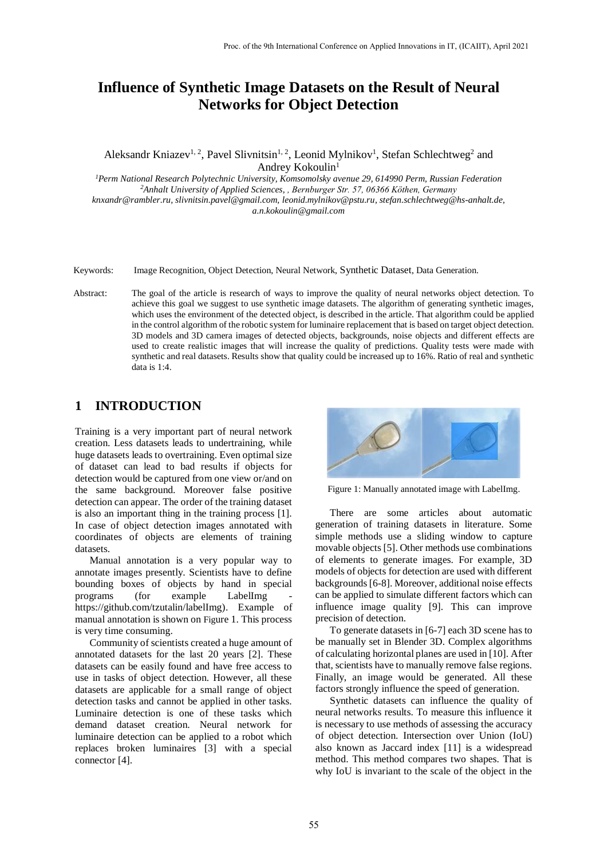# **Influence of Synthetic Image Datasets on the Result of Neural Networks for Object Detection**

Aleksandr Kniazev<sup>1, 2</sup>, Pavel Slivnitsin<sup>1, 2</sup>, Leonid Mylnikov<sup>1</sup>, Stefan Schlechtweg<sup>2</sup> and Andrey Kokoulin<sup>1</sup>

*<sup>1</sup>Perm National Research Polytechnic University, Komsomolsky avenue 29, 614990 Perm, Russian Federation <sup>2</sup>Anhalt University of Applied Sciences, , Bernburger Str. 57, 06366 Köthen, Germany knxandr@rambler.ru, slivnitsin.pavel@gmail.com[, leonid.mylnikov@pstu.ru,](mailto:leonid.mylnikov@pstu.ru) [stefan.schlechtweg@hs-anhalt.de,](mailto:stefan.schlechtweg@hs-anhalt.de)  [a.n.kokoulin@gmail.com](mailto:a.n.kokoulin@gmail.com)*

- Keywords: Image Recognition, Object Detection, Neural Network, Synthetic Dataset, Data Generation.
- Abstract: The goal of the article is research of ways to improve the quality of neural networks object detection. To achieve this goal we suggest to use synthetic image datasets. The algorithm of generating synthetic images, which uses the environment of the detected object, is described in the article. That algorithm could be applied in the control algorithm of the robotic system for luminaire replacement that is based on target object detection. 3D models and 3D camera images of detected objects, backgrounds, noise objects and different effects are used to create realistic images that will increase the quality of predictions. Quality tests were made with synthetic and real datasets. Results show that quality could be increased up to 16%. Ratio of real and synthetic data is 1:4.

#### **1 INTRODUCTION**

Training is a very important part of neural network creation. Less datasets leads to undertraining, while huge datasets leads to overtraining. Even optimal size of dataset can lead to bad results if objects for detection would be captured from one view or/and on the same background. Moreover false positive detection can appear. The order of the training dataset is also an important thing in the training process [1]. In case of object detection images annotated with coordinates of objects are elements of training datasets.

Manual annotation is a very popular way to annotate images presently. Scientists have to define bounding boxes of objects by hand in special programs (for example LabelImg https://github.com/tzutalin/labelImg). Example of manual annotation is shown on Figure 1. This process is very time consuming.

Community of scientists created a huge amount of annotated datasets for the last 20 years [2]. These datasets can be easily found and have free access to use in tasks of object detection. However, all these datasets are applicable for a small range of object detection tasks and cannot be applied in other tasks. Luminaire detection is one of these tasks which demand dataset creation. Neural network for luminaire detection can be applied to a robot which replaces broken luminaires [3] with a special connector [4].



Figure 1: Manually annotated image with LabelImg.

There are some articles about automatic generation of training datasets in literature. Some simple methods use a sliding window to capture movable objects [5]. Other methods use combinations of elements to generate images. For example, 3D models of objects for detection are used with different backgrounds [6-8]. Moreover, additional noise effects can be applied to simulate different factors which can influence image quality [9]. This can improve precision of detection.

To generate datasets in [6-7] each 3D scene has to be manually set in Blender 3D. Complex algorithms of calculating horizontal planes are used in [10]. After that, scientists have to manually remove false regions. Finally, an image would be generated. All these factors strongly influence the speed of generation.

Synthetic datasets can influence the quality of neural networks results. To measure this influence it is necessary to use methods of assessing the accuracy of object detection. Intersection over Union (IoU) also known as Jaccard index [11] is a widespread method. This method compares two shapes. That is why IoU is invariant to the scale of the object in the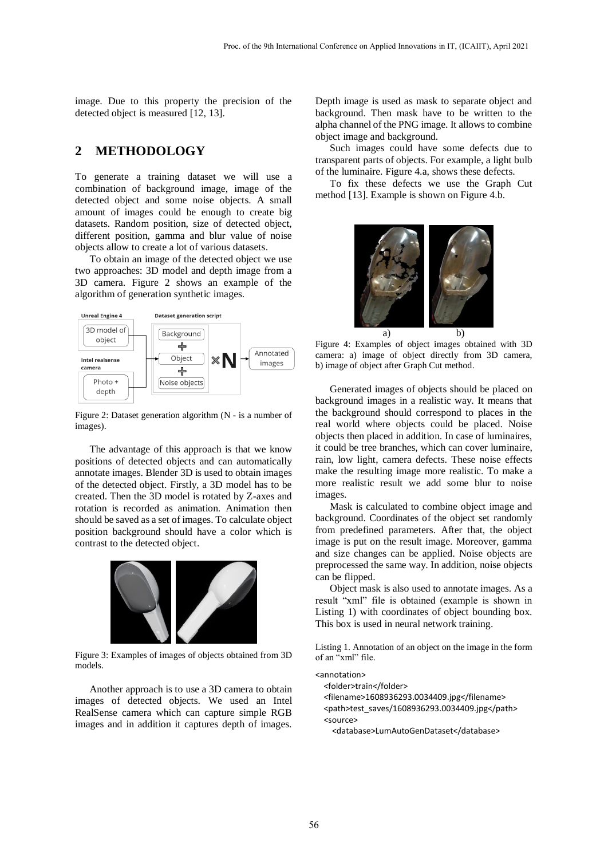image. Due to this property the precision of the detected object is measured [12, 13].

## **2 METHODOLOGY**

To generate a training dataset we will use a combination of background image, image of the detected object and some noise objects. A small amount of images could be enough to create big datasets. Random position, size of detected object, different position, gamma and blur value of noise objects allow to create a lot of various datasets.

To obtain an image of the detected object we use two approaches: 3D model and depth image from a 3D camera. Figure 2 shows an example of the algorithm of generation synthetic images.



Figure 2: Dataset generation algorithm (N - is a number of images).

The advantage of this approach is that we know positions of detected objects and can automatically annotate images. Blender 3D is used to obtain images of the detected object. Firstly, a 3D model has to be created. Then the 3D model is rotated by Z-axes and rotation is recorded as animation. Animation then should be saved as a set of images. To calculate object position background should have a color which is contrast to the detected object.



Figure 3: Examples of images of objects obtained from 3D models.

Another approach is to use a 3D camera to obtain images of detected objects. We used an Intel RealSense camera which can capture simple RGB images and in addition it captures depth of images. Depth image is used as mask to separate object and background. Then mask have to be written to the alpha channel of the PNG image. It allows to combine object image and background.

Such images could have some defects due to transparent parts of objects. For example, a light bulb of the luminaire. Figure 4.a, shows these defects.

To fix these defects we use the Graph Cut method [13]. Example is shown on Figure 4.b.



Figure 4: Examples of object images obtained with 3D camera: a) image of object directly from 3D camera, b) image of object after Graph Cut method.

Generated images of objects should be placed on background images in a realistic way. It means that the background should correspond to places in the real world where objects could be placed. Noise objects then placed in addition. In case of luminaires, it could be tree branches, which can cover luminaire, rain, low light, camera defects. These noise effects make the resulting image more realistic. To make a more realistic result we add some blur to noise images.

Mask is calculated to combine object image and background. Coordinates of the object set randomly from predefined parameters. After that, the object image is put on the result image. Moreover, gamma and size changes can be applied. Noise objects are preprocessed the same way. In addition, noise objects can be flipped.

Object mask is also used to annotate images. As a result "xml" file is obtained (example is shown in Listing 1) with coordinates of object bounding box. This box is used in neural network training.

Listing 1. Annotation of an object on the image in the form of an "xml" file.

```
<annotation>
```

| <folder>train</folder>                         |
|------------------------------------------------|
| <filename>1608936293.0034409.jpg</filename>    |
| <path>test saves/1608936293.0034409.jpg</path> |
|                                                |

<database>LumAutoGenDataset</database>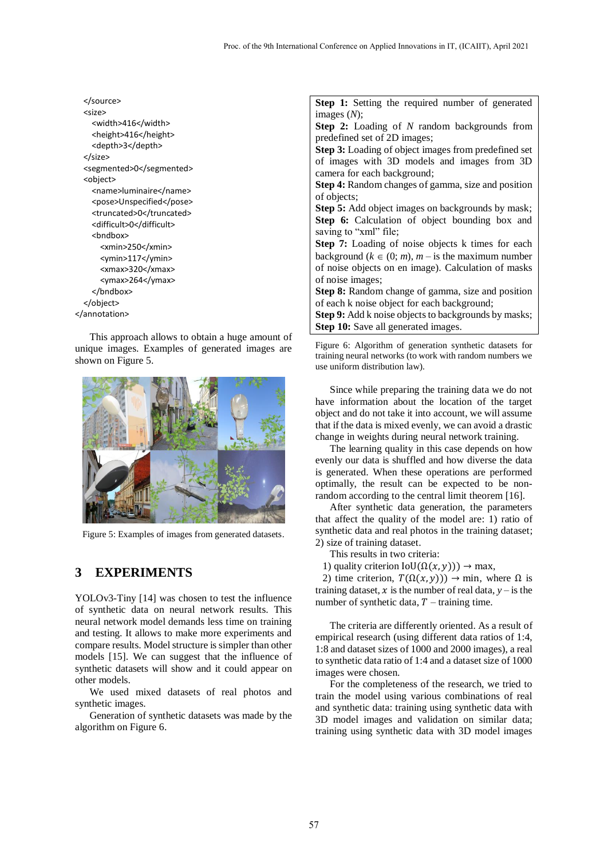| <size></size>            |  |
|--------------------------|--|
| <width>416</width>       |  |
| <height>416</height>     |  |
| <depth>3</depth>         |  |
|                          |  |
| <segmented>0</segmented> |  |
| <object></object>        |  |
| <name>luminaire</name>   |  |
| <pose>Unspecified</pose> |  |
| <truncated>0</truncated> |  |
| <difficult>0</difficult> |  |
| <bndbox></bndbox>        |  |
| <xmin>250</xmin>         |  |
| <ymin>117</ymin>         |  |
| <xmax>320</xmax>         |  |
| <ymax>264</ymax>         |  |
|                          |  |
|                          |  |
|                          |  |
|                          |  |

This approach allows to obtain a huge amount of unique images. Examples of generated images are shown on Figure 5.



Figure 5: Examples of images from generated datasets.

## **3 EXPERIMENTS**

YOLOv3-Tiny [14] was chosen to test the influence of synthetic data on neural network results. This neural network model demands less time on training and testing. It allows to make more experiments and compare results. Model structure is simpler than other models [15]. We can suggest that the influence of synthetic datasets will show and it could appear on other models.

We used mixed datasets of real photos and synthetic images.

Generation of synthetic datasets was made by the algorithm on Figure 6.

**Step 1:** Setting the required number of generated images (*N*);

**Step 2:** Loading of *N* random backgrounds from predefined set of 2D images;

**Step 3:** Loading of object images from predefined set of images with 3D models and images from 3D camera for each background;

**Step 4:** Random changes of gamma, size and position of objects;

**Step 5:** Add object images on backgrounds by mask; **Step 6:** Calculation of object bounding box and saving to "xml" file;

**Step 7:** Loading of noise objects k times for each background ( $k \in (0; m)$ ,  $m -$  is the maximum number of noise objects on en image). Calculation of masks of noise images;

**Step 8:** Random change of gamma, size and position of each k noise object for each background;

**Step 9:** Add k noise objects to backgrounds by masks; **Step 10:** Save all generated images.

Figure 6: Algorithm of generation synthetic datasets for training neural networks (to work with random numbers we use uniform distribution law).

Since while preparing the training data we do not have information about the location of the target object and do not take it into account, we will assume that if the data is mixed evenly, we can avoid a drastic change in weights during neural network training.

The learning quality in this case depends on how evenly our data is shuffled and how diverse the data is generated. When these operations are performed optimally, the result can be expected to be nonrandom according to the central limit theorem [16].

After synthetic data generation, the parameters that affect the quality of the model are: 1) ratio of synthetic data and real photos in the training dataset; 2) size of training dataset.

This results in two criteria:

1) quality criterion  $IoU(\Omega(x, y)) \rightarrow \text{max}$ ,

2) time criterion,  $T(\Omega(x, y)) \rightarrow$  min, where  $\Omega$  is training dataset,  $x$  is the number of real data,  $y$  – is the number of synthetic data,  $T$  – training time.

The criteria are differently oriented. As a result of empirical research (using different data ratios of 1:4, 1:8 and dataset sizes of 1000 and 2000 images), a real to synthetic data ratio of 1:4 and a dataset size of 1000 images were chosen.

For the completeness of the research, we tried to train the model using various combinations of real and synthetic data: training using synthetic data with 3D model images and validation on similar data; training using synthetic data with 3D model images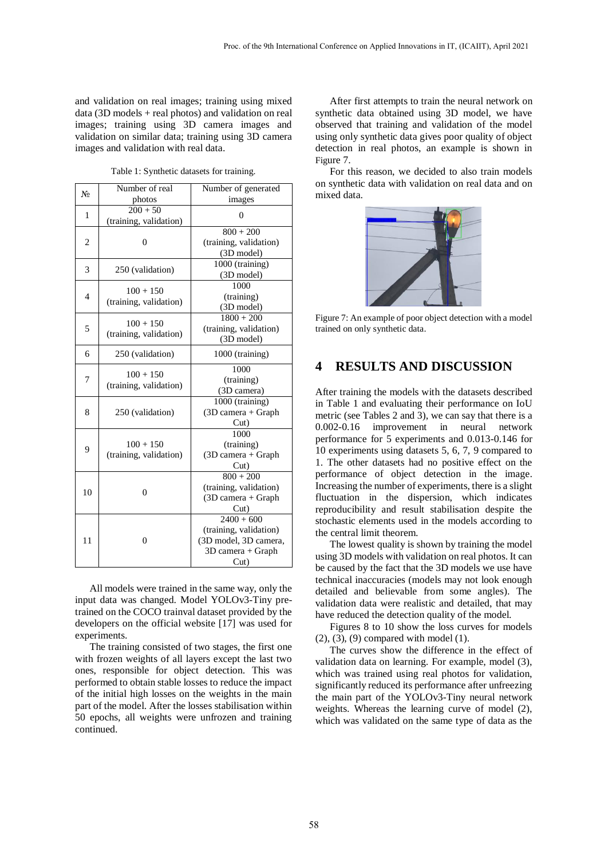and validation on real images; training using mixed data (3D models + real photos) and validation on real images; training using 3D camera images and validation on similar data; training using 3D camera images and validation with real data.

Table 1: Synthetic datasets for training.

| $N_2$ | Number of real                        | Number of generated                  |
|-------|---------------------------------------|--------------------------------------|
|       | photos                                | images                               |
| 1     | $200 + 50$                            | 0                                    |
|       | (training, validation)                |                                      |
|       | $\theta$                              | $800 + 200$                          |
| 2     |                                       | (training, validation)               |
|       |                                       | (3D model)                           |
| 3     | 250 (validation)                      | 1000 (training)                      |
|       |                                       | (3D model)                           |
|       | $100 + 150$<br>(training, validation) | 1000                                 |
| 4     |                                       | (training)                           |
|       |                                       | (3D model)                           |
|       | $100 + 150$                           | $1800 + 200$                         |
| 5     | (training, validation)                | (training, validation)               |
|       |                                       | (3D model)                           |
| 6     | 250 (validation)                      | 1000 (training)                      |
|       | $100 + 150$<br>(training, validation) | 1000                                 |
| 7     |                                       | (training)                           |
|       |                                       | (3D camera)                          |
|       |                                       | 1000 (training)                      |
| 8     | 250 (validation)                      | (3D camera + Graph                   |
|       |                                       | $Cut$ )                              |
|       |                                       | 1000                                 |
| 9     | $100 + 150$                           | (training)                           |
|       | (training, validation)                | $(3D \text{ camera} + \text{Graph})$ |
|       |                                       | $Cut$ )                              |
|       |                                       | $800 + 200$                          |
| 10    | $\theta$                              | (training, validation)               |
|       |                                       | $(3D \text{ camera} + \text{Graph})$ |
|       |                                       | $Cut$ )                              |
|       |                                       | $2400 + 600$                         |
|       |                                       | (training, validation)               |
| 11    | $\theta$                              | (3D model, 3D camera,                |
|       |                                       | 3D camera + Graph                    |
|       |                                       | Cut)                                 |

All models were trained in the same way, only the input data was changed. Model YOLOv3-Tiny pretrained on the COCO trainval dataset provided by the developers on the official website [17] was used for experiments.

The training consisted of two stages, the first one with frozen weights of all layers except the last two ones, responsible for object detection. This was performed to obtain stable losses to reduce the impact of the initial high losses on the weights in the main part of the model. After the losses stabilisation within 50 epochs, all weights were unfrozen and training continued.

After first attempts to train the neural network on synthetic data obtained using 3D model, we have observed that training and validation of the model using only synthetic data gives poor quality of object detection in real photos, an example is shown in Figure 7.

For this reason, we decided to also train models on synthetic data with validation on real data and on mixed data.



Figure 7: An example of poor object detection with a model trained on only synthetic data.

## **4 RESULTS AND DISCUSSION**

After training the models with the datasets described in Table 1 and evaluating their performance on IoU metric (see Tables 2 and 3), we can say that there is a 0.002-0.16 improvement in neural network performance for 5 experiments and 0.013-0.146 for 10 experiments using datasets 5, 6, 7, 9 compared to 1. The other datasets had no positive effect on the performance of object detection in the image. Increasing the number of experiments, there is a slight fluctuation in the dispersion, which indicates reproducibility and result stabilisation despite the stochastic elements used in the models according to the central limit theorem.

The lowest quality is shown by training the model using 3D models with validation on real photos. It can be caused by the fact that the 3D models we use have technical inaccuracies (models may not look enough detailed and believable from some angles). The validation data were realistic and detailed, that may have reduced the detection quality of the model.

Figures 8 to 10 show the loss curves for models (2), (3), (9) compared with model (1).

The curves show the difference in the effect of validation data on learning. For example, model (3), which was trained using real photos for validation, significantly reduced its performance after unfreezing the main part of the YOLOv3-Tiny neural network weights. Whereas the learning curve of model (2), which was validated on the same type of data as the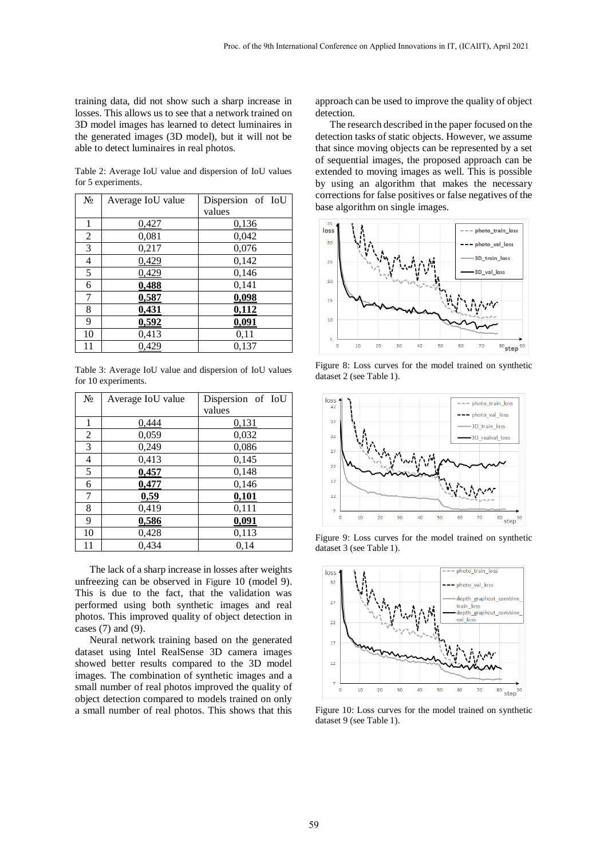training data, did not show such a sharp increase in losses. This allows us to see that a network trained on 3D model images has learned to detect luminaires in the generated images (3D model), but it will not be able to detect luminaires in real photos.

Table 2: Average IoU value and dispersion of IoU values for 5 experiments.

| $N_2$          | Average IoU value | Dispersion of IoU |
|----------------|-------------------|-------------------|
|                |                   | values            |
| 1              | 0,427             | 0,136             |
| $\overline{c}$ | 0,081             | 0,042             |
| 3              | 0,217             | 0,076             |
| 4              | 0,429             | 0,142             |
| 5              | 0,429             | 0,146             |
| 6              | 0,488             | 0,141             |
| 7              | 0,587             | 0,098             |
| 8              | 0,431             | 0,112             |
| 9              | 0,592             | 0.091             |
| 10             | 0,413             | 0,11              |
| 11             | 0,429             | 0,137             |

Table 3: Average IoU value and dispersion of IoU values for 10 experiments.

| $N_2$ | Average IoU value | Dispersion of IoU |
|-------|-------------------|-------------------|
|       |                   | values            |
| 1     | 0,444             | 0,131             |
| 2     | 0,059             | 0,032             |
| 3     | 0,249             | 0,086             |
| 4     | 0,413             | 0,145             |
| 5     | 0,457             | 0,148             |
| 6     | 0,477             | 0,146             |
| 7     | 0,59              | 0,101             |
| 8     | 0,419             | 0,111             |
| 9     | 0,586             | 0,091             |
| 10    | 0,428             | 0,113             |
| 11    | 0,434             | 0.14              |

The lack of a sharp increase in losses after weights unfreezing can be observed in Figure 10 (model 9). This is due to the fact, that the validation was performed using both synthetic images and real photos. This improved quality of object detection in cases (7) and (9).

Neural network training based on the generated dataset using Intel RealSense 3D camera images showed better results compared to the 3D model images. The combination of synthetic images and a small number of real photos improved the quality of object detection compared to models trained on only a small number of real photos. This shows that this

approach can be used to improve the quality of object detection.

The research described in the paper focused on the detection tasks of static objects. However, we assume that since moving objects can be represented by a set of sequential images, the proposed approach can be extended to moving images as well. This is possible by using an algorithm that makes the necessary corrections for false positives or false negatives of the base algorithm on single images.



Figure 8: Loss curves for the model trained on synthetic dataset 2 (see Table 1).



Figure 9: Loss curves for the model trained on synthetic dataset 3 (see Table 1).



Figure 10: Loss curves for the model trained on synthetic dataset 9 (see Table 1).